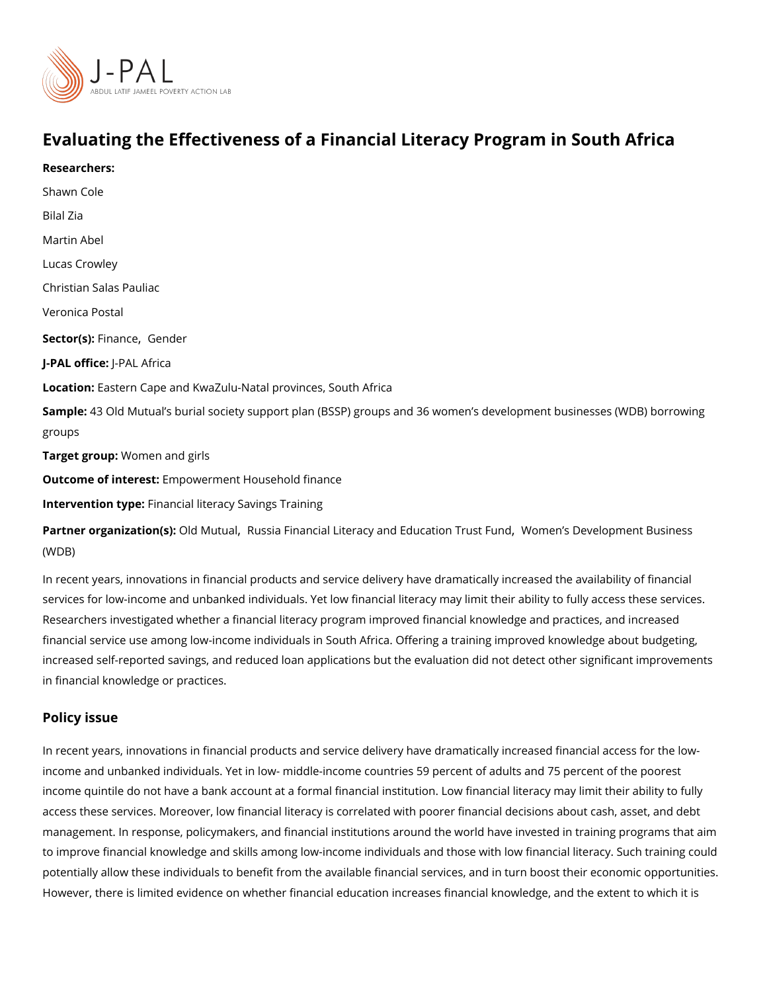# Evaluating the Effectiveness of a Financial Literacy Program

[Shawn C](https://www.povertyactionlab.org/person/cole)ole Bilal Zia [Martin A](https://www.povertyactionlab.org/person/abel)bel Lucas Crowley Christian Salas Pauliac Veronica Postal Sector(Fsi)n anc@ender J-PAL oftlicReAL Africa Locatio Eastern Cape and KwaZulu-Natal provinces, South Africa Sample: 3 Old Mutual s burial society support plan (BSSP) groups and 36 women s develop groups Target grow/po:men and girls Outcome of interemptowerment Household finance Intervention typreancial literacy Savings Training

Partner organizat@dd(bM)ut[,](https://www.povertyactionlab.org/partners/russia-financial-literacy-and-education-trust-fund)uRaussia Financial Literacy and Edu Wactimoenn TsruDset vFelom pdm ent Busines [\(WD](https://www.povertyactionlab.org/partners/womens-development-business-wdb)B)

In recent years, innovations in financial products and service delivery have dramatically services for low-income and unbanked individuals. Yet low financial literacy may limit the Researchers investigated whether a financial literacy program improved financial knowled financial service use among low-income individuals in South Africa. Offering a training im increased self-reported savings, and reduced loan applications but the evaluation did not in financial knowledge or practices.

#### Policy issue

Researchers:

In recent years, innovations in financial products and service delivery have dramatically income and unbanked individuals. Yet in low- middle-income countries 59 percent of adult income quintile do not have a bank account at a formal financial institution. Low financia access these services. Moreover, low financial literacy is correlated with poorer financial management. In response, policymakers, and financial institutions around the world have to improve financial knowledge and skills among low-income individuals and those with lo potentially allow these individuals to benefit from the available financial services, and in However, there is limited evidence on whether financial education increases financial kno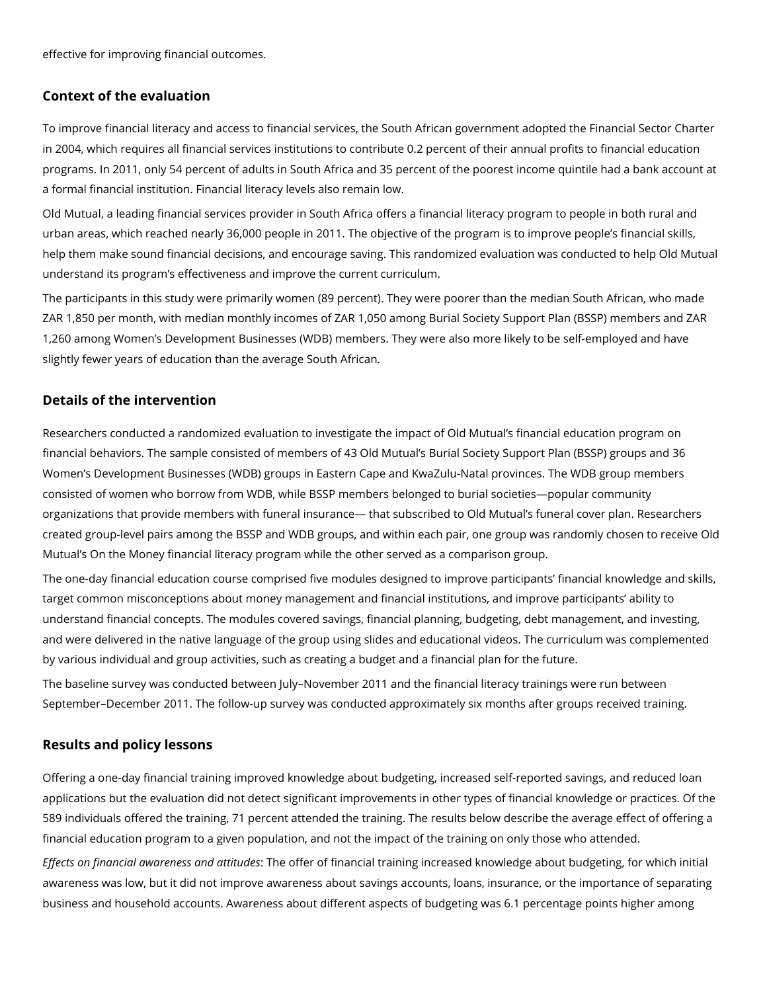effective for improving financial outcomes.

### **Context of the evaluation**

To improve financial literacy and access to financial services, the South African government adopted the Financial Sector Charter in 2004, which requires all financial services institutions to contribute 0.2 percent of their annual profits to financial education programs. In 2011, only 54 percent of adults in South Africa and 35 percent of the poorest income quintile had a bank account at a formal financial institution. Financial literacy levels also remain low.

Old Mutual, a leading financial services provider in South Africa offers a financial literacy program to people in both rural and urban areas, which reached nearly 36,000 people in 2011. The objective of the program is to improve people's financial skills, help them make sound financial decisions, and encourage saving. This randomized evaluation was conducted to help Old Mutual understand its program's effectiveness and improve the current curriculum.

The participants in this study were primarily women (89 percent). They were poorer than the median South African, who made ZAR 1,850 per month, with median monthly incomes of ZAR 1,050 among Burial Society Support Plan (BSSP) members and ZAR 1,260 among Women's Development Businesses (WDB) members. They were also more likely to be self-employed and have slightly fewer years of education than the average South African.

#### **Details of the intervention**

Researchers conducted a randomized evaluation to investigate the impact of Old Mutual's financial education program on financial behaviors. The sample consisted of members of 43 Old Mutual's Burial Society Support Plan (BSSP) groups and 36 Women's Development Businesses (WDB) groups in Eastern Cape and KwaZulu-Natal provinces. The WDB group members consisted of women who borrow from WDB, while BSSP members belonged to burial societies—popular community organizations that provide members with funeral insurance— that subscribed to Old Mutual's funeral cover plan. Researchers created group-level pairs among the BSSP and WDB groups, and within each pair, one group was randomly chosen to receive Old Mutual's On the Money financial literacy program while the other served as a comparison group.

The one-day financial education course comprised five modules designed to improve participants' financial knowledge and skills, target common misconceptions about money management and financial institutions, and improve participants' ability to understand financial concepts. The modules covered savings, financial planning, budgeting, debt management, and investing, and were delivered in the native language of the group using slides and educational videos. The curriculum was complemented by various individual and group activities, such as creating a budget and a financial plan for the future.

The baseline survey was conducted between July–November 2011 and the financial literacy trainings were run between September–December 2011. The follow-up survey was conducted approximately six months after groups received training.

## **Results and policy lessons**

Offering a one-day financial training improved knowledge about budgeting, increased self-reported savings, and reduced loan applications but the evaluation did not detect significant improvements in other types of financial knowledge or practices. Of the 589 individuals offered the training, 71 percent attended the training. The results below describe the average effect of offering a financial education program to a given population, and not the impact of the training on only those who attended.

*Effects on financial awareness and attitudes*: The offer of financial training increased knowledge about budgeting, for which initial awareness was low, but it did not improve awareness about savings accounts, loans, insurance, or the importance of separating business and household accounts. Awareness about different aspects of budgeting was 6.1 percentage points higher among